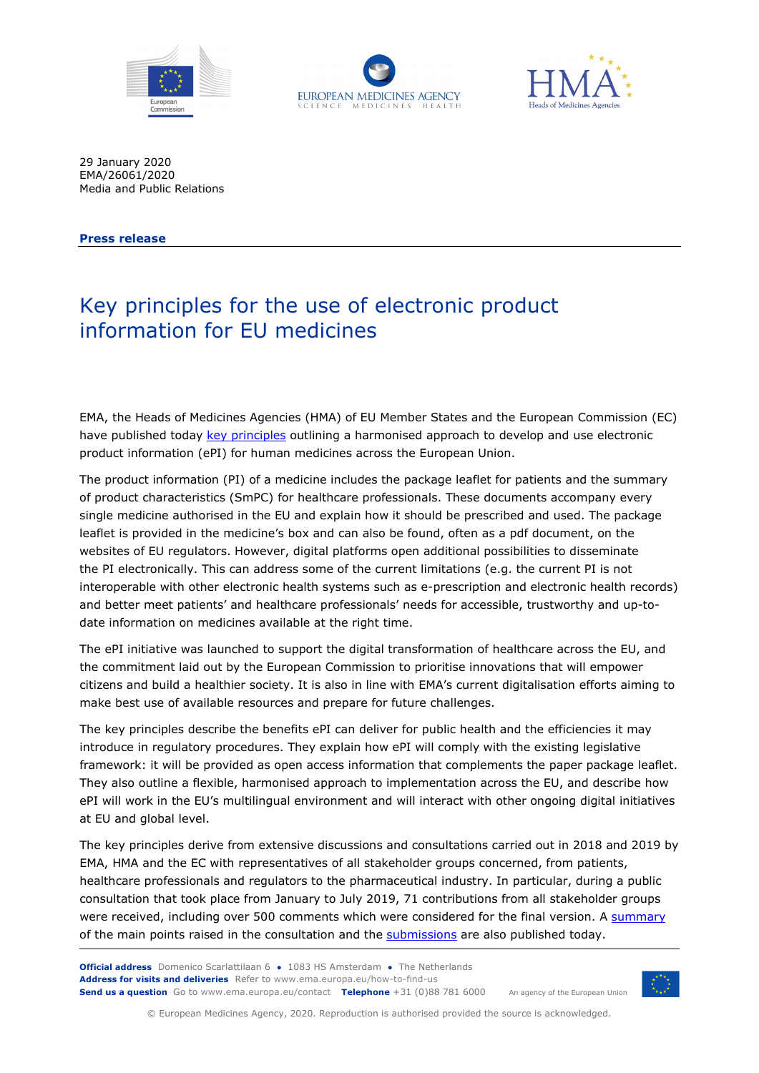





29 January 2020 EMA/26061/2020 Media and Public Relations

**Press release**

# Key principles for the use of electronic product information for EU medicines

EMA, the Heads of Medicines Agencies (HMA) of EU Member States and the European Commission (EC) have published today [key principles](https://www.ema.europa.eu/documents/regulatory-procedural-guideline/electronic-product-information-human-medicines-european-union-key-principles_en.pdf) outlining a harmonised approach to develop and use electronic product information (ePI) for human medicines across the European Union.

The product information (PI) of a medicine includes the package leaflet for patients and the summary of product characteristics (SmPC) for healthcare professionals. These documents accompany every single medicine authorised in the EU and explain how it should be prescribed and used. The package leaflet is provided in the medicine's box and can also be found, often as a pdf document, on the websites of EU regulators. However, digital platforms open additional possibilities to disseminate the PI electronically. This can address some of the current limitations (e.g. the current PI is not interoperable with other electronic health systems such as e-prescription and electronic health records) and better meet patients' and healthcare professionals' needs for accessible, trustworthy and up-todate information on medicines available at the right time.

The ePI initiative was launched to support the digital transformation of healthcare across the EU, and the commitment laid out by the European Commission to prioritise innovations that will empower citizens and build a healthier society. It is also in line with EMA's current digitalisation efforts aiming to make best use of available resources and prepare for future challenges.

The key principles describe the benefits ePI can deliver for public health and the efficiencies it may introduce in regulatory procedures. They explain how ePI will comply with the existing legislative framework: it will be provided as open access information that complements the paper package leaflet. They also outline a flexible, harmonised approach to implementation across the EU, and describe how ePI will work in the EU's multilingual environment and will interact with other ongoing digital initiatives at EU and global level.

The key principles derive from extensive discussions and consultations carried out in 2018 and 2019 by EMA, HMA and the EC with representatives of all stakeholder groups concerned, from patients, healthcare professionals and regulators to the pharmaceutical industry. In particular, during a public consultation that took place from January to July 2019, 71 contributions from all stakeholder groups were received, including over 500 comments which were considered for the final version. A [summary](https://www.ema.europa.eu/documents/report/report-public-consultation-electronic-product-information-human-medicines-european-union-draft-key_en.pdf) of the main points raised in the consultation and the [submissions](https://www.ema.europa.eu/en/electronic-product-information-human-medicines-european-union-key-principles) are also published today.

**Official address** Domenico Scarlattilaan 6 **●** 1083 HS Amsterdam **●** The Netherlands An agency of the European Union **Address for visits and deliveries** Refer to www.ema.europa.eu/how-to-find-us **Send us a question** Go to www.ema.europa.eu/contact **Telephone** +31 (0)88 781 6000



© European Medicines Agency, 2020. Reproduction is authorised provided the source is acknowledged.